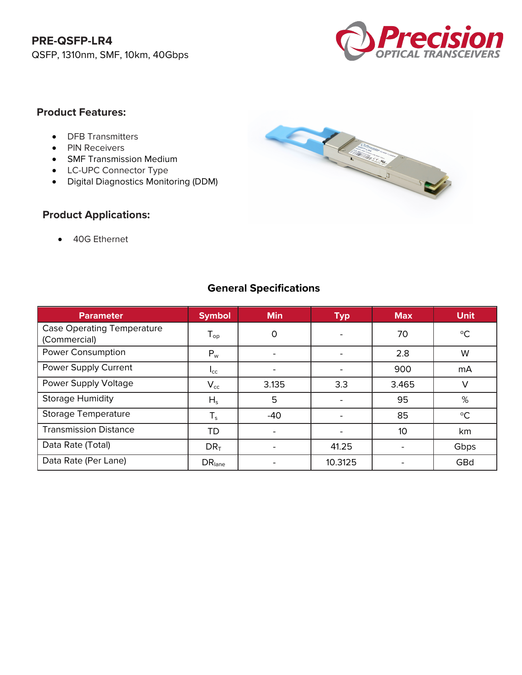

#### **Product Features:**

- DFB Transmitters
- PIN Receivers
- SMF Transmission Medium
- LC-UPC Connector Type
- Digital Diagnostics Monitoring (DDM)

#### **Product Applications:**

• 40G Ethernet



#### **General Specifications**

| <b>Parameter</b>                                  | <b>Symbol</b>      | <b>Min</b> | <b>Typ</b> | <b>Max</b> | <b>Unit</b>     |
|---------------------------------------------------|--------------------|------------|------------|------------|-----------------|
| <b>Case Operating Temperature</b><br>(Commercial) | $T_{op}$           | 0          |            | 70         | $\rm ^{\circ}C$ |
| <b>Power Consumption</b>                          | $P_w$              |            |            | 2.8        | W               |
| Power Supply Current                              | $I_{\rm CC}$       |            |            | 900        | mA              |
| Power Supply Voltage                              | $V_{cc}$           | 3.135      | 3.3        | 3.465      | $\vee$          |
| <b>Storage Humidity</b>                           | $H_s$              | 5          |            | 95         | %               |
| <b>Storage Temperature</b>                        | $T_s$              | $-40$      |            | 85         | $\rm ^{\circ}C$ |
| <b>Transmission Distance</b>                      | TD                 |            |            | 10         | km              |
| Data Rate (Total)                                 | $DR_T$             |            | 41.25      |            | Gbps            |
| Data Rate (Per Lane)                              | DR <sub>lane</sub> |            | 10.3125    |            | GBd             |